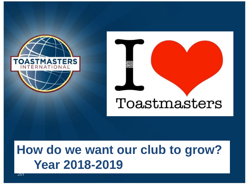



### **How do we want our club to grow? Year 2018-2019**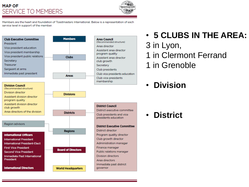### **MAP OF SERVICE TO MEMBERS**



Members are the heart and foundation of Toastmasters International. Below is a representation of each service level in support of the member.



### • **5 CLUBS IN THE AREA:**

- 3 in Lyon,
- 1 in Clermont Ferrand
- 1 in Grenoble
- **Division**

• **District**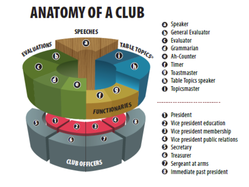# ANATOMY OF A CLUB

**SPEECHES** 



- **@** Speaker
- **General Evaluator**
- **Evaluator** i di
- Grammarian
- **@** Ah-Counter

**Timer** 

- Toastmaster
- **Table Topics speaker**
- Topicsmaster o
- **← President**
- **@** Vice president education
- **B** Vice president membership
- Vice president public relations
- **6** Secretary
- 6 **Treasurer**
- $\bullet$  Sergeant at arms
- Immediate past president o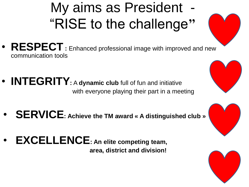## My aims as President -"RISE to the challenge**"**

- **RESPECT :** Enhanced professional image with improved and new communication tools
- **INTEGRITY:** <sup>A</sup>**dynamic club** full of fun and initiative with everyone playing their part in a meeting
- **SERVICE: Achieve the TM award « A distinguished club »**
- **EXCELLENCE: An elite competing team, area, district and division!**





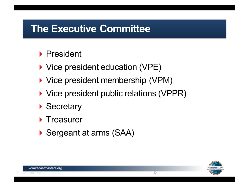### **The Executive Committee**

- $\blacktriangleright$  President
- ▶ Vice president education (VPE)
- ▶ Vice president membership (VPM)
- ▶ Vice president public relations (VPPR)
- ▶ Secretary
- $\blacktriangleright$  Treasurer
- Sergeant at arms (SAA)

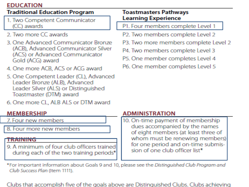### **EDUCATION**

#### **Traditional Education Program**

- 1. Two Competent Communicator (CC) awards
- 2. Two more CC awards
- 3. One Advanced Communicator Bronze (ACB), Advanced Communicator Silver (ACS) or Advanced Communicator Gold (ACG) award
- 4. One more ACB, ACS or ACG award
- 5. One Competent Leader (CL), Advanced Leader Bronze (ALB), Advanced Leader Silver (ALS) or Distinguished Toastmaster (DTM) award
- 6. One more CL, ALB ALS or DTM award

### **MEMBERSHIP**

7. Four new members

8. Four more new members

#### **TRAINING**

9. A minimum of four club officers trained during each of the two training periods\*

#### **Toastmasters Pathways Learning Experience**

- P1. Four members complete Level 1
- P2. Two members complete Level 2
- P3. Two more members complete Level 2
- P4. Two members complete Level 3
- P<sub>5</sub>. One member completes Level 4
- P6. One member completes Level 5

#### **ADMINISTRATION**

10. On-time payment of membership dues accompanied by the names of eight members (at least three of whom must be renewing members) for one period and on-time submission of one club officer list\*

\*For important information about Goals 9 and 10, please see the Distinguished Club Program and Club Success Plan (Item 1111).

Clubs that accomplish five of the goals above are Distinguished Clubs. Clubs achieving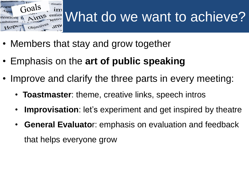

- Members that stay and grow together
- Emphasis on the **art of public speaking**
- Improve and clarify the three parts in every meeting:
	- **Toastmaster**: theme, creative links, speech intros
	- **Improvisation**: let's experiment and get inspired by theatre
	- **General Evaluato**r: emphasis on evaluation and feedback that helps everyone grow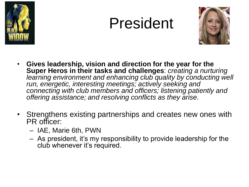

## President



- **Gives leadership, vision and direction for the year for the Super Heros in their tasks and challenges**: *creating a nurturing learning environment and enhancing club quality by conducting well run, energetic, interesting meetings; actively seeking and connecting with club members and officers; listening patiently and offering assistance; and resolving conflicts as they arise.*
- Strengthens existing partnerships and creates new ones with PR officer:
	- IAE, Marie 6th, PWN
	- As president, it's my responsibility to provide leadership for the club whenever it's required.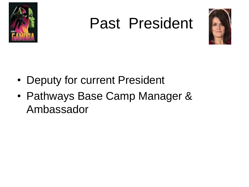

## Past President



- Deputy for current President
- Pathways Base Camp Manager & Ambassador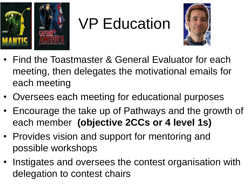

# VP Education



- Find the Toastmaster & General Evaluator for each meeting, then delegates the motivational emails for each meeting
- Oversees each meeting for educational purposes
- Encourage the take up of Pathways and the growth of each member **(objective 2CCs or 4 level 1s)**
- Provides vision and support for mentoring and possible workshops
- Instigates and oversees the contest organisation with delegation to contest chairs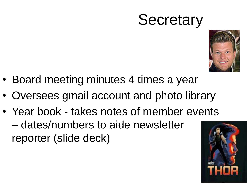## **Secretary**



- Board meeting minutes 4 times a year
- Oversees gmail account and photo library
- Year book takes notes of member events – dates/numbers to aide newsletter reporter (slide deck)

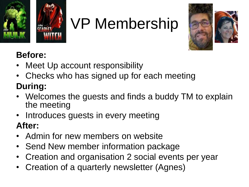

# VP Membership



### **Before:**

- Meet Up account responsibility
- Checks who has signed up for each meeting **During:**
- Welcomes the guests and finds a buddy TM to explain the meeting
- Introduces guests in every meeting

### **After:**

- Admin for new members on website
- Send New member information package
- Creation and organisation 2 social events per year
- Creation of a quarterly newsletter (Agnes)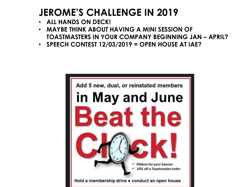### **JEROME'S CHALLENGE IN 2019**

- **ALL HANDS ON DECK!**
- **MAYBE THINK ABOUT HAVING A MINI SESSION OF TOASTMASTERS IN YOUR COMPANY BEGINNING JAN – APRIL?**
- **SPEECH CONTEST 12/03/2019 = OPEN HOUSE AT IAE?**

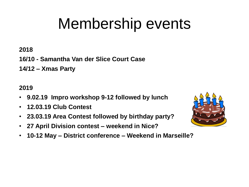# Membership events

**2018**

**16/10 - Samantha Van der Slice Court Case**

**14/12 – Xmas Party**

### **2019**

- **9.02.19 Impro workshop 9-12 followed by lunch**
- **12.03.19 Club Contest**
- **23.03.19 Area Contest followed by birthday party?**
- **27 April Division contest – weekend in Nice?**
- **10-12 May – District conference – Weekend in Marseille?**

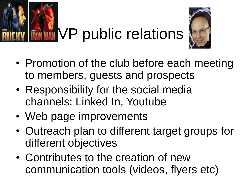



- Promotion of the club before each meeting to members, guests and prospects
- Responsibility for the social media channels: Linked In, Youtube
- Web page improvements
- Outreach plan to different target groups for different objectives
- Contributes to the creation of new communication tools (videos, flyers etc)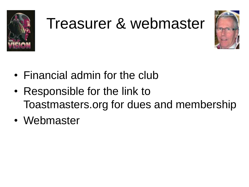

# Treasurer & webmaster



- Financial admin for the club
- Responsible for the link to Toastmasters.org for dues and membership
- Webmaster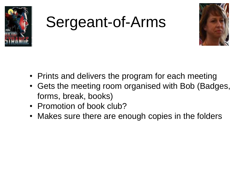

# Sergeant-of-Arms



- Prints and delivers the program for each meeting
- Gets the meeting room organised with Bob (Badges, forms, break, books)
- Promotion of book club?
- Makes sure there are enough copies in the folders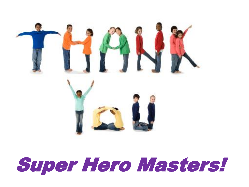

# Super Hero Masters!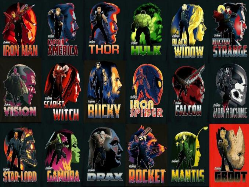